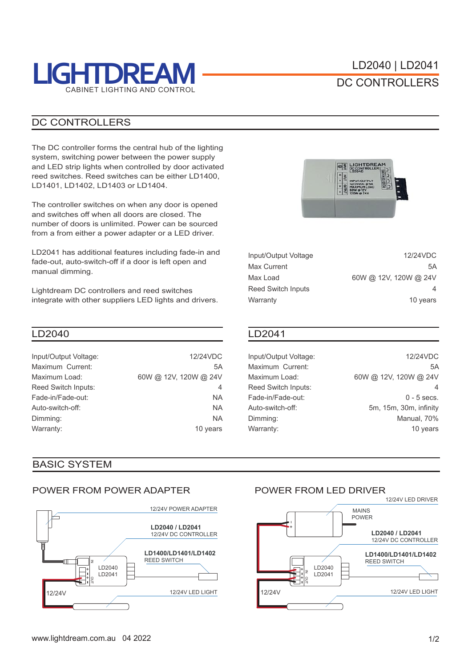

## DC CONTROLLERS

#### DC CONTROLLERS

The DC controller forms the central hub of the lighting system, switching power between the power supply and LED strip lights when controlled by door activated reed switches. Reed switches can be either LD1400, LD1401, LD1402, LD1403 or LD1404.

The controller switches on when any door is opened and switches off when all doors are closed. The number of doors is unlimited. Power can be sourced from a from either a power adapter or a LED driver.

LD2041 has additional features including fade-in and fade-out, auto-switch-off if a door is left open and manual dimming.

Lightdream DC controllers and reed switches integrate with other suppliers LED lights and drivers.

#### LD2040 LD2041

| Input/Output Voltage: | 12/24VDC              |
|-----------------------|-----------------------|
| Maximum Current:      | 5A                    |
| Maximum Load:         | 60W @ 12V, 120W @ 24V |
| Reed Switch Inputs:   | 4                     |
| Fade-in/Fade-out:     | NA.                   |
| Auto-switch-off:      | <b>NA</b>             |
| Dimming:              | NA.                   |
| Warranty:             | 10 years              |

### BASIC SYSTEM

#### POWER FROM POWER ADAPTER





| 12/24VDC              |
|-----------------------|
| 5Α                    |
| 60W @ 12V, 120W @ 24V |
| 4                     |
| 10 years              |
|                       |

Input/Output Voltage: Maximum Current: Maximum Load: Reed Switch Inputs: Fade-in/Fade-out: Auto-switch-off: Dimming: Warranty:

12/24VDC 5A 60W @ 12V, 120W @ 24V  $\overline{A}$ 0 - 5 secs. 5m, 15m, 30m, infinity Manual, 70% 10 years